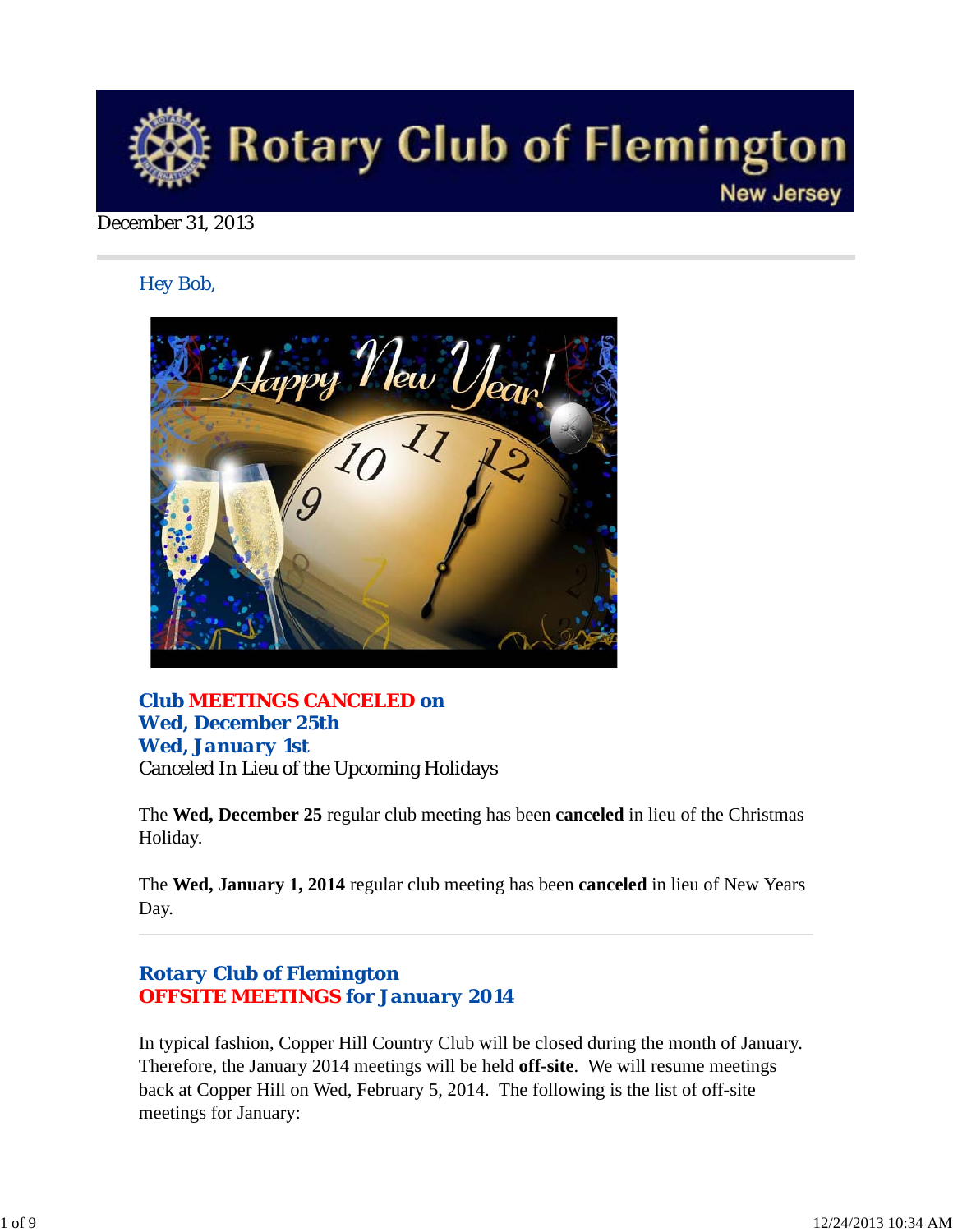

#### December 31, 2013

*Hey Bob,* 



## *Club MEETINGS CANCELED on Wed, December 25th Wed, January 1st* Canceled In Lieu of the Upcoming Holidays

The **Wed, December 25** regular club meeting has been **canceled** in lieu of the Christmas Holiday.

The **Wed, January 1, 2014** regular club meeting has been **canceled** in lieu of New Years Day.

## *Rotary Club of Flemington OFFSITE MEETINGS for January 2014*

In typical fashion, Copper Hill Country Club will be closed during the month of January. Therefore, the January 2014 meetings will be held **off-site**. We will resume meetings back at Copper Hill on Wed, February 5, 2014. The following is the list of off-site meetings for January: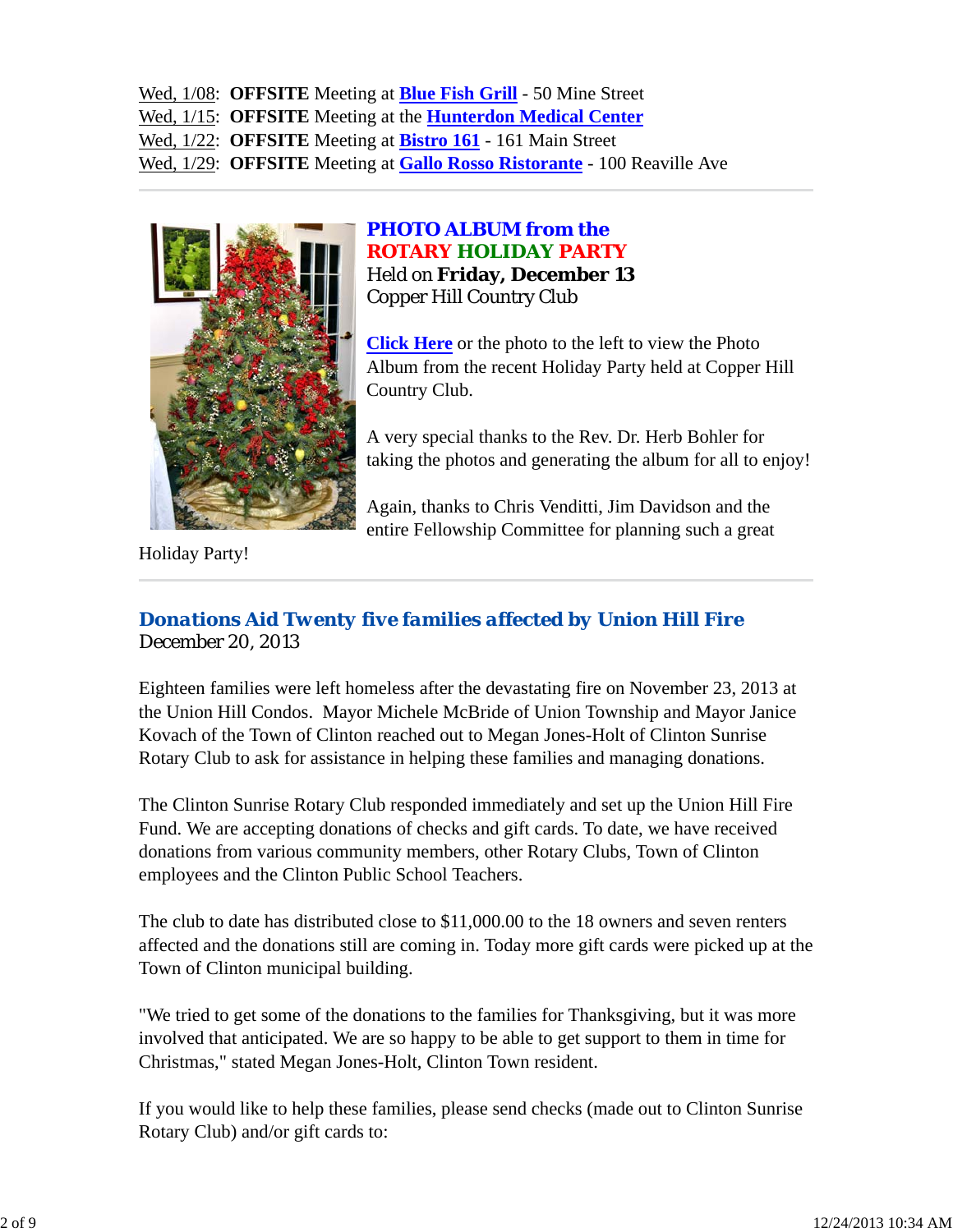Wed, 1/08: **OFFSITE** Meeting at **Blue Fish Grill** - 50 Mine Street Wed, 1/15: **OFFSITE** Meeting at the **Hunterdon Medical Center** Wed, 1/22: **OFFSITE** Meeting at **Bistro 161** - 161 Main Street Wed, 1/29: **OFFSITE** Meeting at **Gallo Rosso Ristorante** - 100 Reaville Ave



*PHOTO ALBUM from the ROTARY HOLIDAY PARTY* Held on **Friday, December 13** Copper Hill Country Club

**Click Here** or the photo to the left to view the Photo Album from the recent Holiday Party held at Copper Hill Country Club.

A very special thanks to the Rev. Dr. Herb Bohler for taking the photos and generating the album for all to enjoy!

Again, thanks to Chris Venditti, Jim Davidson and the entire Fellowship Committee for planning such a great

Holiday Party!

## *Donations Aid Twenty five families affected by Union Hill Fire* December 20, 2013

Eighteen families were left homeless after the devastating fire on November 23, 2013 at the Union Hill Condos. Mayor Michele McBride of Union Township and Mayor Janice Kovach of the Town of Clinton reached out to Megan Jones-Holt of Clinton Sunrise Rotary Club to ask for assistance in helping these families and managing donations.

The Clinton Sunrise Rotary Club responded immediately and set up the Union Hill Fire Fund. We are accepting donations of checks and gift cards. To date, we have received donations from various community members, other Rotary Clubs, Town of Clinton employees and the Clinton Public School Teachers.

The club to date has distributed close to \$11,000.00 to the 18 owners and seven renters affected and the donations still are coming in. Today more gift cards were picked up at the Town of Clinton municipal building.

"We tried to get some of the donations to the families for Thanksgiving, but it was more involved that anticipated. We are so happy to be able to get support to them in time for Christmas," stated Megan Jones-Holt, Clinton Town resident.

If you would like to help these families, please send checks (made out to Clinton Sunrise Rotary Club) and/or gift cards to: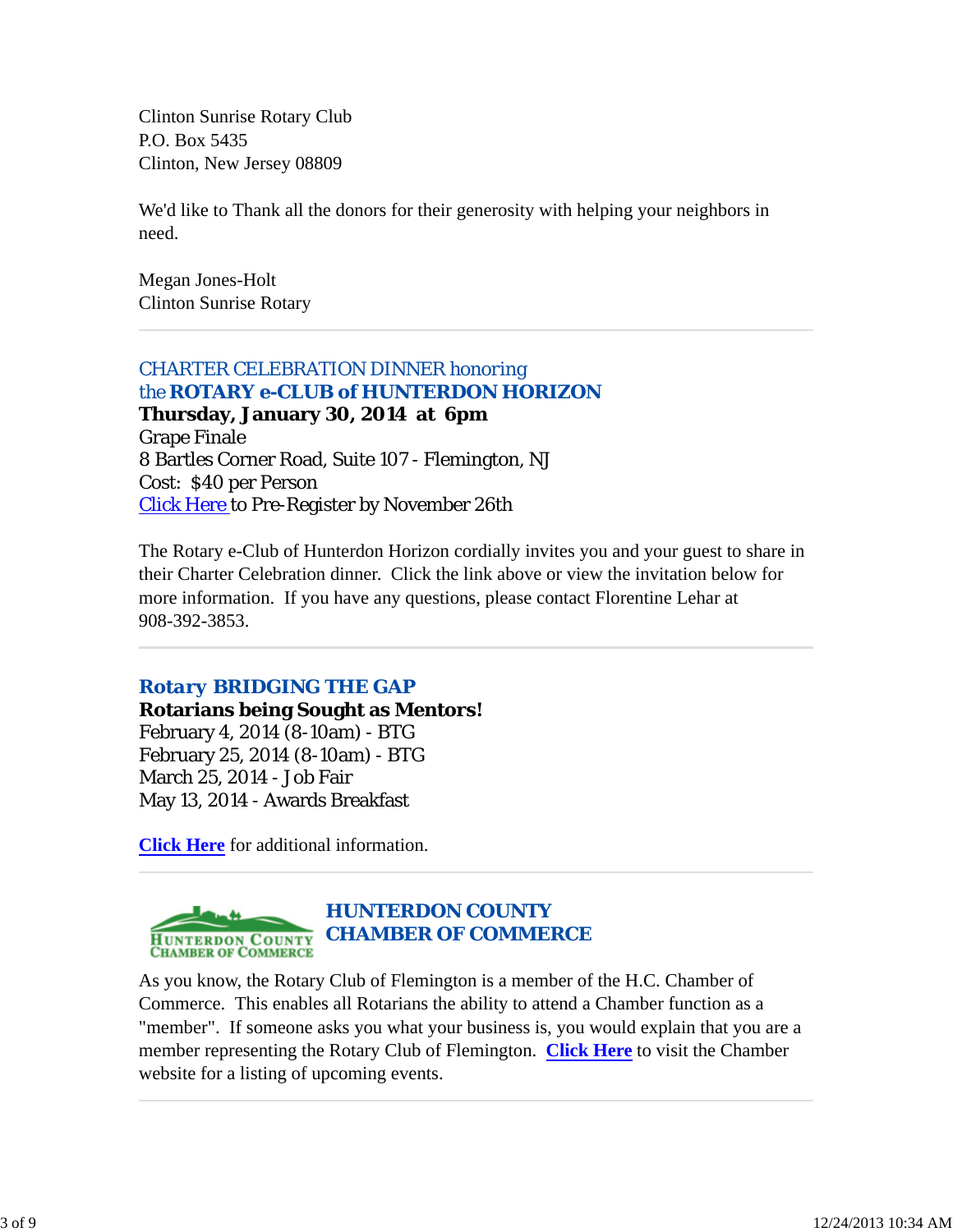Clinton Sunrise Rotary Club P.O. Box 5435 Clinton, New Jersey 08809

We'd like to Thank all the donors for their generosity with helping your neighbors in need.

Megan Jones-Holt Clinton Sunrise Rotary

*CHARTER CELEBRATION DINNER honoring the ROTARY e-CLUB of HUNTERDON HORIZON* **Thursday, January 30, 2014 at 6pm** Grape Finale 8 Bartles Corner Road, Suite 107 - Flemington, NJ Cost: \$40 per Person Click Here to Pre-Register by November 26th

The Rotary e-Club of Hunterdon Horizon cordially invites you and your guest to share in their Charter Celebration dinner. Click the link above or view the invitation below for more information. If you have any questions, please contact Florentine Lehar at 908-392-3853.

## *Rotary BRIDGING THE GAP*

**Rotarians being Sought as Mentors!** February 4, 2014 (8-10am) - BTG February 25, 2014 (8-10am) - BTG March 25, 2014 - Job Fair May 13, 2014 - Awards Breakfast

**Click Here** for additional information.



As you know, the Rotary Club of Flemington is a member of the H.C. Chamber of Commerce. This enables all Rotarians the ability to attend a Chamber function as a "member". If someone asks you what your business is, you would explain that you are a member representing the Rotary Club of Flemington. **Click Here** to visit the Chamber website for a listing of upcoming events.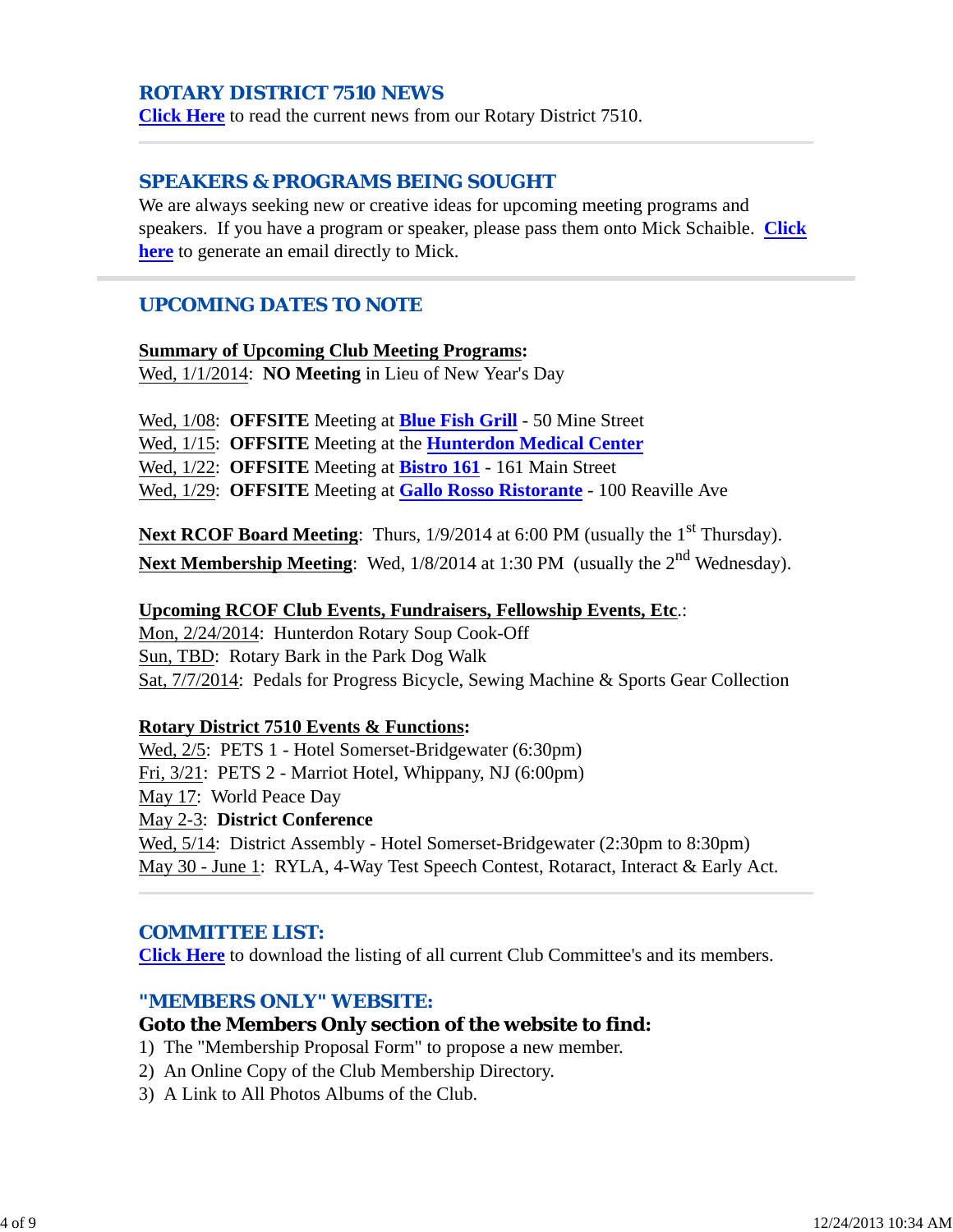## *ROTARY DISTRICT 7510 NEWS*

**Click Here** to read the current news from our Rotary District 7510.

## *SPEAKERS & PROGRAMS BEING SOUGHT*

We are always seeking new or creative ideas for upcoming meeting programs and speakers. If you have a program or speaker, please pass them onto Mick Schaible. **Click here** to generate an email directly to Mick.

## *UPCOMING DATES TO NOTE*

#### **Summary of Upcoming Club Meeting Programs:**

Wed, 1/1/2014: **NO Meeting** in Lieu of New Year's Day

Wed, 1/08: **OFFSITE** Meeting at **Blue Fish Grill** - 50 Mine Street

Wed, 1/15: **OFFSITE** Meeting at the **Hunterdon Medical Center**

Wed, 1/22: **OFFSITE** Meeting at **Bistro 161** - 161 Main Street

Wed, 1/29: **OFFSITE** Meeting at **Gallo Rosso Ristorante** - 100 Reaville Ave

**Next RCOF Board Meeting**: Thurs,  $1/9/2014$  at 6:00 PM (usually the 1<sup>st</sup> Thursday). **Next Membership Meeting:** Wed,  $1/8/2014$  at 1:30 PM (usually the 2<sup>nd</sup> Wednesday).

#### **Upcoming RCOF Club Events, Fundraisers, Fellowship Events, Etc**.:

Mon, 2/24/2014: Hunterdon Rotary Soup Cook-Off Sun, TBD: Rotary Bark in the Park Dog Walk Sat, 7/7/2014: Pedals for Progress Bicycle, Sewing Machine & Sports Gear Collection

#### **Rotary District 7510 Events & Functions:**

Wed, 2/5: PETS 1 - Hotel Somerset-Bridgewater (6:30pm) Fri, 3/21: PETS 2 - Marriot Hotel, Whippany, NJ (6:00pm) May 17: World Peace Day May 2-3: **District Conference** Wed, 5/14: District Assembly - Hotel Somerset-Bridgewater (2:30pm to 8:30pm) May 30 - June 1: RYLA, 4-Way Test Speech Contest, Rotaract, Interact & Early Act.

## *COMMITTEE LIST:*

**Click Here** to download the listing of all current Club Committee's and its members.

## *"MEMBERS ONLY" WEBSITE:*

#### **Goto the Members Only section of the website to find:**

- 1) The "Membership Proposal Form" to propose a new member.
- 2) An Online Copy of the Club Membership Directory.
- 3) A Link to All Photos Albums of the Club.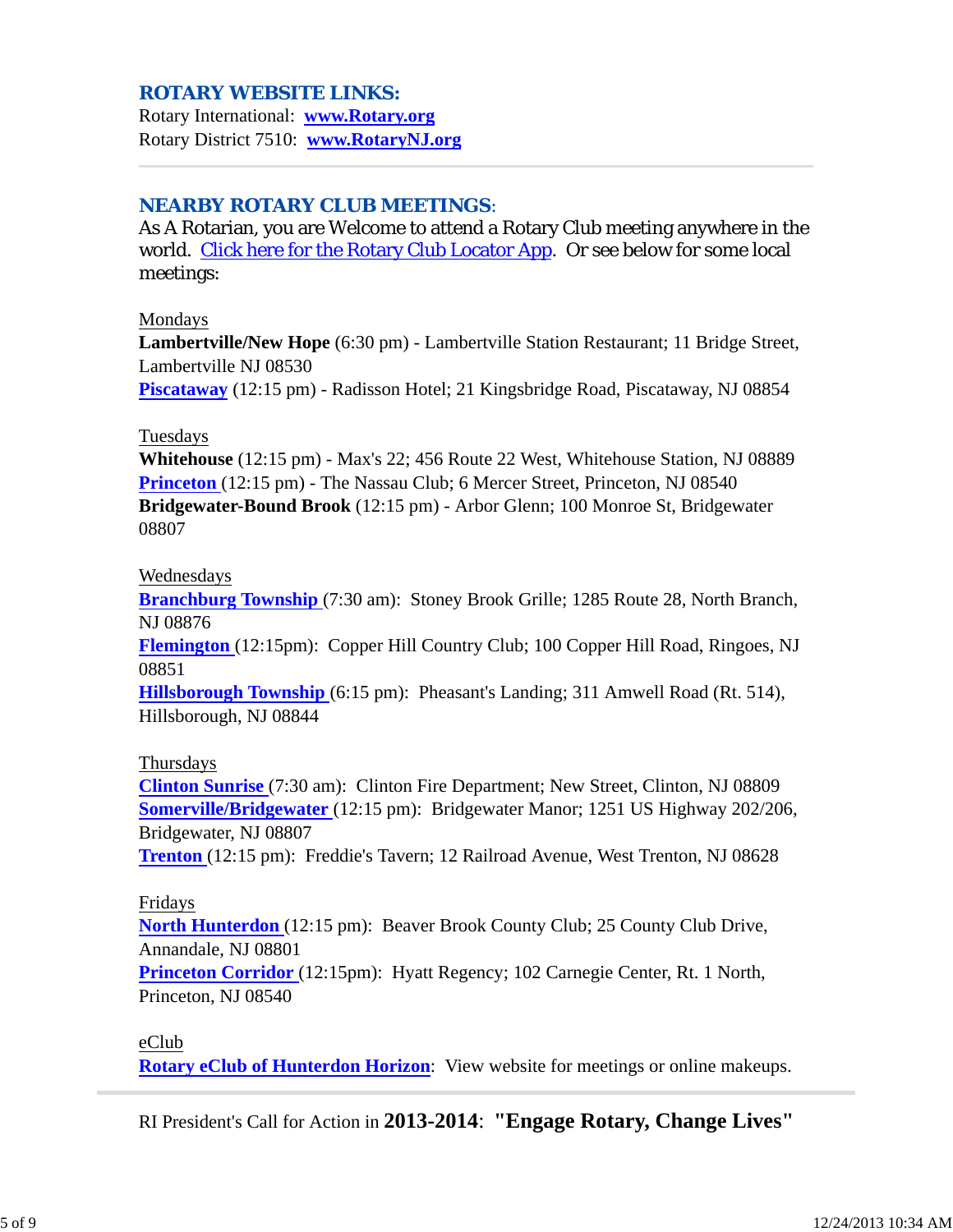## *ROTARY WEBSITE LINKS:*

Rotary International: **www.Rotary.org** Rotary District 7510: **www.RotaryNJ.org**

## *NEARBY ROTARY CLUB MEETINGS:*

As A Rotarian, you are Welcome to attend a Rotary Club meeting anywhere in the world. Click here for the Rotary Club Locator App. Or see below for some local meetings:

#### Mondays

**Lambertville/New Hope** (6:30 pm) - Lambertville Station Restaurant; 11 Bridge Street, Lambertville NJ 08530

**Piscataway** (12:15 pm) - Radisson Hotel; 21 Kingsbridge Road, Piscataway, NJ 08854

#### Tuesdays

**Whitehouse** (12:15 pm) - Max's 22; 456 Route 22 West, Whitehouse Station, NJ 08889 **Princeton** (12:15 pm) - The Nassau Club; 6 Mercer Street, Princeton, NJ 08540 **Bridgewater-Bound Brook** (12:15 pm) - Arbor Glenn; 100 Monroe St, Bridgewater 08807

#### Wednesdays

**Branchburg Township** (7:30 am): Stoney Brook Grille; 1285 Route 28, North Branch, NJ 08876

**Flemington** (12:15pm): Copper Hill Country Club; 100 Copper Hill Road, Ringoes, NJ 08851

**Hillsborough Township** (6:15 pm): Pheasant's Landing; 311 Amwell Road (Rt. 514), Hillsborough, NJ 08844

#### Thursdays

**Clinton Sunrise** (7:30 am): Clinton Fire Department; New Street, Clinton, NJ 08809 **Somerville/Bridgewater** (12:15 pm): Bridgewater Manor; 1251 US Highway 202/206, Bridgewater, NJ 08807

**Trenton** (12:15 pm): Freddie's Tavern; 12 Railroad Avenue, West Trenton, NJ 08628

#### Fridays

**North Hunterdon** (12:15 pm): Beaver Brook County Club; 25 County Club Drive, Annandale, NJ 08801

**Princeton Corridor** (12:15pm): Hyatt Regency; 102 Carnegie Center, Rt. 1 North, Princeton, NJ 08540

eClub

**Rotary eClub of Hunterdon Horizon**: View website for meetings or online makeups.

RI President's Call for Action in **2013-2014**: **"Engage Rotary, Change Lives"**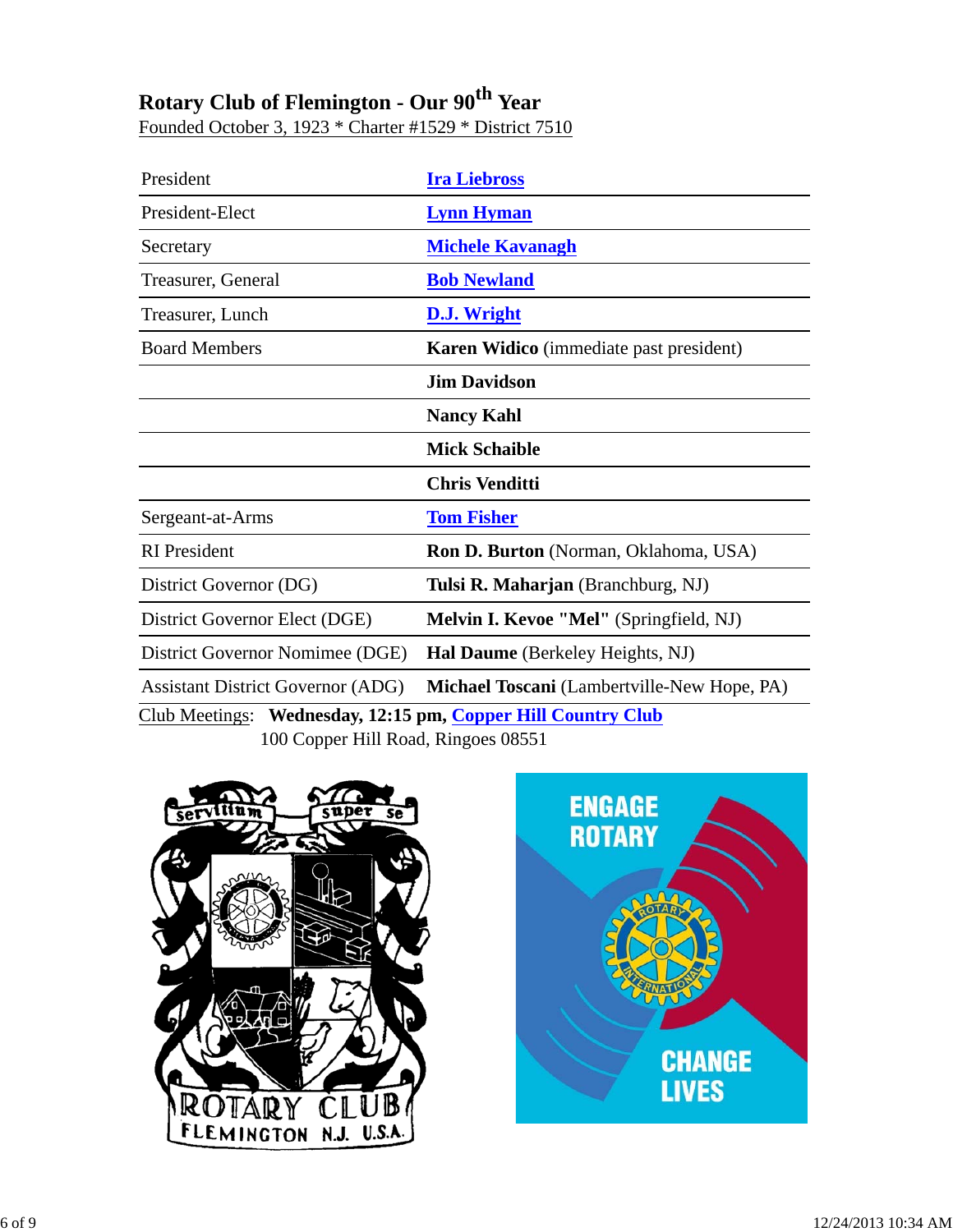# **Rotary Club of Flemington - Our 90th Year**

Founded October 3, 1923 \* Charter #1529 \* District 7510

| President                                                           | <b>Ira Liebross</b>                            |  |  |  |
|---------------------------------------------------------------------|------------------------------------------------|--|--|--|
| President-Elect                                                     | <b>Lynn Hyman</b>                              |  |  |  |
| Secretary                                                           | <b>Michele Kavanagh</b>                        |  |  |  |
| Treasurer, General                                                  | <b>Bob Newland</b>                             |  |  |  |
| Treasurer, Lunch                                                    | D.J. Wright                                    |  |  |  |
| <b>Board Members</b>                                                | <b>Karen Widico</b> (immediate past president) |  |  |  |
|                                                                     | <b>Jim Davidson</b>                            |  |  |  |
|                                                                     | <b>Nancy Kahl</b>                              |  |  |  |
|                                                                     | <b>Mick Schaible</b>                           |  |  |  |
|                                                                     | <b>Chris Venditti</b>                          |  |  |  |
| Sergeant-at-Arms                                                    | <b>Tom Fisher</b>                              |  |  |  |
| <b>RI</b> President                                                 | Ron D. Burton (Norman, Oklahoma, USA)          |  |  |  |
| District Governor (DG)                                              | Tulsi R. Maharjan (Branchburg, NJ)             |  |  |  |
| District Governor Elect (DGE)                                       | Melvin I. Kevoe "Mel" (Springfield, NJ)        |  |  |  |
| District Governor Nomimee (DGE)                                     | Hal Daume (Berkeley Heights, NJ)               |  |  |  |
| <b>Assistant District Governor (ADG)</b>                            | Michael Toscani (Lambertville-New Hope, PA)    |  |  |  |
| <b>Club Meetings:</b> Wednesday, 12:15 pm, Copper Hill Country Club |                                                |  |  |  |
| 100 Copper Hill Road, Ringoes 08551                                 |                                                |  |  |  |



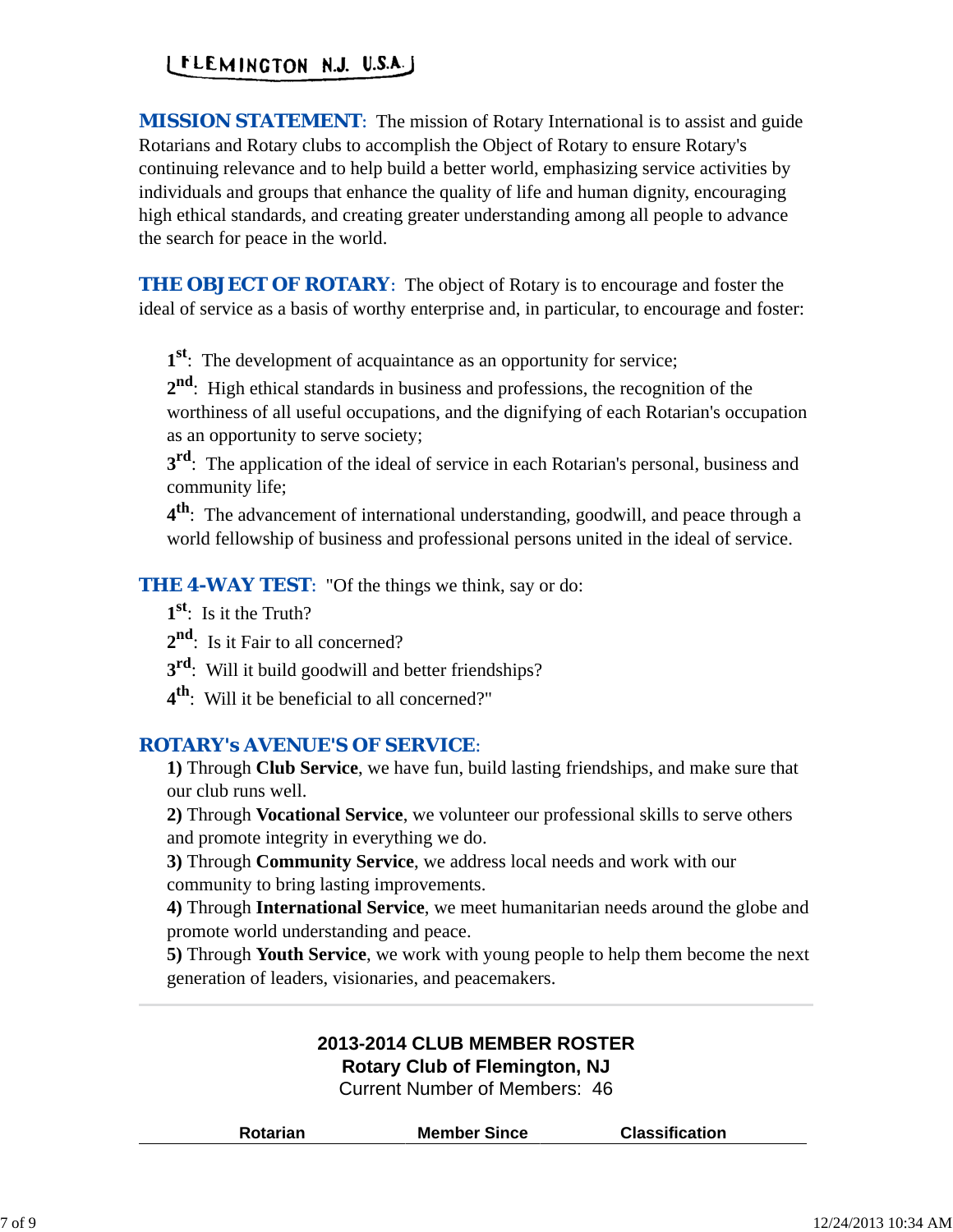## LELEMINGTON N.J. U.S.A.J

*MISSION STATEMENT*: The mission of Rotary International is to assist and guide Rotarians and Rotary clubs to accomplish the Object of Rotary to ensure Rotary's continuing relevance and to help build a better world, emphasizing service activities by individuals and groups that enhance the quality of life and human dignity, encouraging high ethical standards, and creating greater understanding among all people to advance the search for peace in the world.

*THE OBJECT OF ROTARY:* The object of Rotary is to encourage and foster the ideal of service as a basis of worthy enterprise and, in particular, to encourage and foster:

**1st**: The development of acquaintance as an opportunity for service;

**2nd**: High ethical standards in business and professions, the recognition of the worthiness of all useful occupations, and the dignifying of each Rotarian's occupation as an opportunity to serve society;

**3<sup>rd</sup>**: The application of the ideal of service in each Rotarian's personal, business and community life;

**4th**: The advancement of international understanding, goodwill, and peace through a world fellowship of business and professional persons united in the ideal of service.

**THE 4-WAY TEST:** "Of the things we think, say or do:

- **1st**: Is it the Truth?
- 2<sup>nd</sup>: Is it Fair to all concerned?
- **3<sup>rd</sup>:** Will it build goodwill and better friendships?
- **4th**: Will it be beneficial to all concerned?"

## *ROTARY's AVENUE'S OF SERVICE*:

**1)** Through **Club Service**, we have fun, build lasting friendships, and make sure that our club runs well.

**2)** Through **Vocational Service**, we volunteer our professional skills to serve others and promote integrity in everything we do.

**3)** Through **Community Service**, we address local needs and work with our community to bring lasting improvements.

**4)** Through **International Service**, we meet humanitarian needs around the globe and promote world understanding and peace.

**5)** Through **Youth Service**, we work with young people to help them become the next generation of leaders, visionaries, and peacemakers.

## **2013-2014 CLUB MEMBER ROSTER Rotary Club of Flemington, NJ**

Current Number of Members: 46

| <b>Rotarian</b> | <b>Member Since</b> | <b>Classification</b> |
|-----------------|---------------------|-----------------------|
|                 |                     |                       |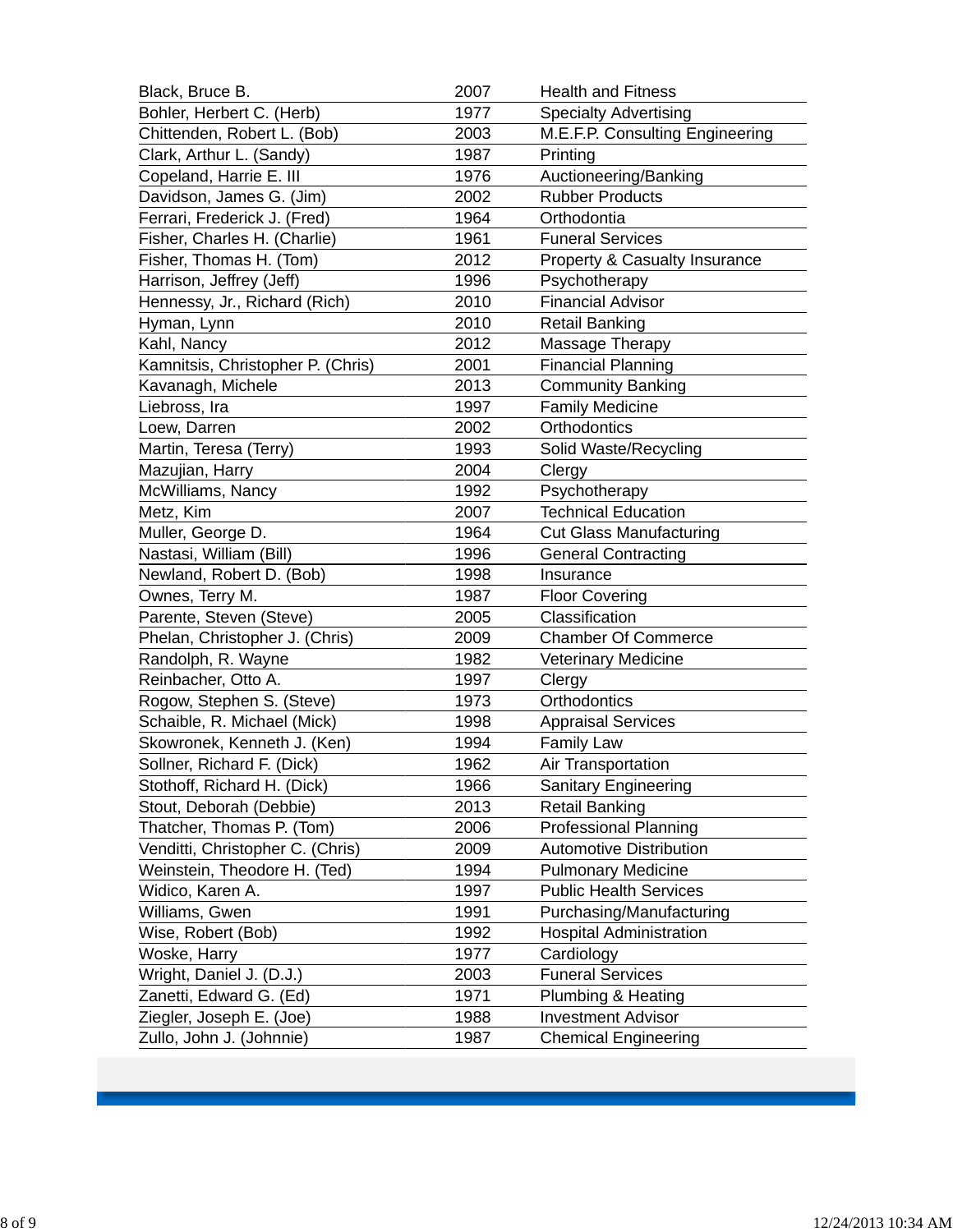| Black, Bruce B.                   | 2007 | <b>Health and Fitness</b>       |  |
|-----------------------------------|------|---------------------------------|--|
| Bohler, Herbert C. (Herb)         | 1977 | <b>Specialty Advertising</b>    |  |
| Chittenden, Robert L. (Bob)       | 2003 | M.E.F.P. Consulting Engineering |  |
| Clark, Arthur L. (Sandy)          | 1987 | Printing                        |  |
| Copeland, Harrie E. III           | 1976 | Auctioneering/Banking           |  |
| Davidson, James G. (Jim)          | 2002 | <b>Rubber Products</b>          |  |
| Ferrari, Frederick J. (Fred)      | 1964 | Orthodontia                     |  |
| Fisher, Charles H. (Charlie)      | 1961 | <b>Funeral Services</b>         |  |
| Fisher, Thomas H. (Tom)           | 2012 | Property & Casualty Insurance   |  |
| Harrison, Jeffrey (Jeff)          | 1996 | Psychotherapy                   |  |
| Hennessy, Jr., Richard (Rich)     | 2010 | <b>Financial Advisor</b>        |  |
| Hyman, Lynn                       | 2010 | <b>Retail Banking</b>           |  |
| Kahl, Nancy                       | 2012 | Massage Therapy                 |  |
| Kamnitsis, Christopher P. (Chris) | 2001 | <b>Financial Planning</b>       |  |
| Kavanagh, Michele                 | 2013 | <b>Community Banking</b>        |  |
| Liebross, Ira                     | 1997 | <b>Family Medicine</b>          |  |
| Loew, Darren                      | 2002 | Orthodontics                    |  |
| Martin, Teresa (Terry)            | 1993 | Solid Waste/Recycling           |  |
| Mazujian, Harry                   | 2004 | Clergy                          |  |
| McWilliams, Nancy                 | 1992 | Psychotherapy                   |  |
| Metz, Kim                         | 2007 | <b>Technical Education</b>      |  |
| Muller, George D.                 | 1964 | <b>Cut Glass Manufacturing</b>  |  |
| Nastasi, William (Bill)           | 1996 | <b>General Contracting</b>      |  |
| Newland, Robert D. (Bob)          | 1998 | Insurance                       |  |
| Ownes, Terry M.                   | 1987 | <b>Floor Covering</b>           |  |
| Parente, Steven (Steve)           | 2005 | Classification                  |  |
| Phelan, Christopher J. (Chris)    | 2009 | <b>Chamber Of Commerce</b>      |  |
| Randolph, R. Wayne                | 1982 | Veterinary Medicine             |  |
| Reinbacher, Otto A.               | 1997 | Clergy                          |  |
| Rogow, Stephen S. (Steve)         | 1973 | Orthodontics                    |  |
| Schaible, R. Michael (Mick)       | 1998 | <b>Appraisal Services</b>       |  |
| Skowronek, Kenneth J. (Ken)       | 1994 | <b>Family Law</b>               |  |
| Sollner, Richard F. (Dick)        | 1962 | Air Transportation              |  |
| Stothoff, Richard H. (Dick)       | 1966 | <b>Sanitary Engineering</b>     |  |
| Stout, Deborah (Debbie)           | 2013 | <b>Retail Banking</b>           |  |
| Thatcher, Thomas P. (Tom)         | 2006 | <b>Professional Planning</b>    |  |
| Venditti, Christopher C. (Chris)  | 2009 | <b>Automotive Distribution</b>  |  |
| Weinstein, Theodore H. (Ted)      | 1994 | <b>Pulmonary Medicine</b>       |  |
| Widico, Karen A.                  | 1997 | <b>Public Health Services</b>   |  |
| Williams, Gwen                    | 1991 | Purchasing/Manufacturing        |  |
| Wise, Robert (Bob)                | 1992 | <b>Hospital Administration</b>  |  |
| Woske, Harry                      | 1977 | Cardiology                      |  |
| Wright, Daniel J. (D.J.)          | 2003 | <b>Funeral Services</b>         |  |
| Zanetti, Edward G. (Ed)           | 1971 | Plumbing & Heating              |  |
| Ziegler, Joseph E. (Joe)          | 1988 | <b>Investment Advisor</b>       |  |
| Zullo, John J. (Johnnie)          | 1987 | <b>Chemical Engineering</b>     |  |